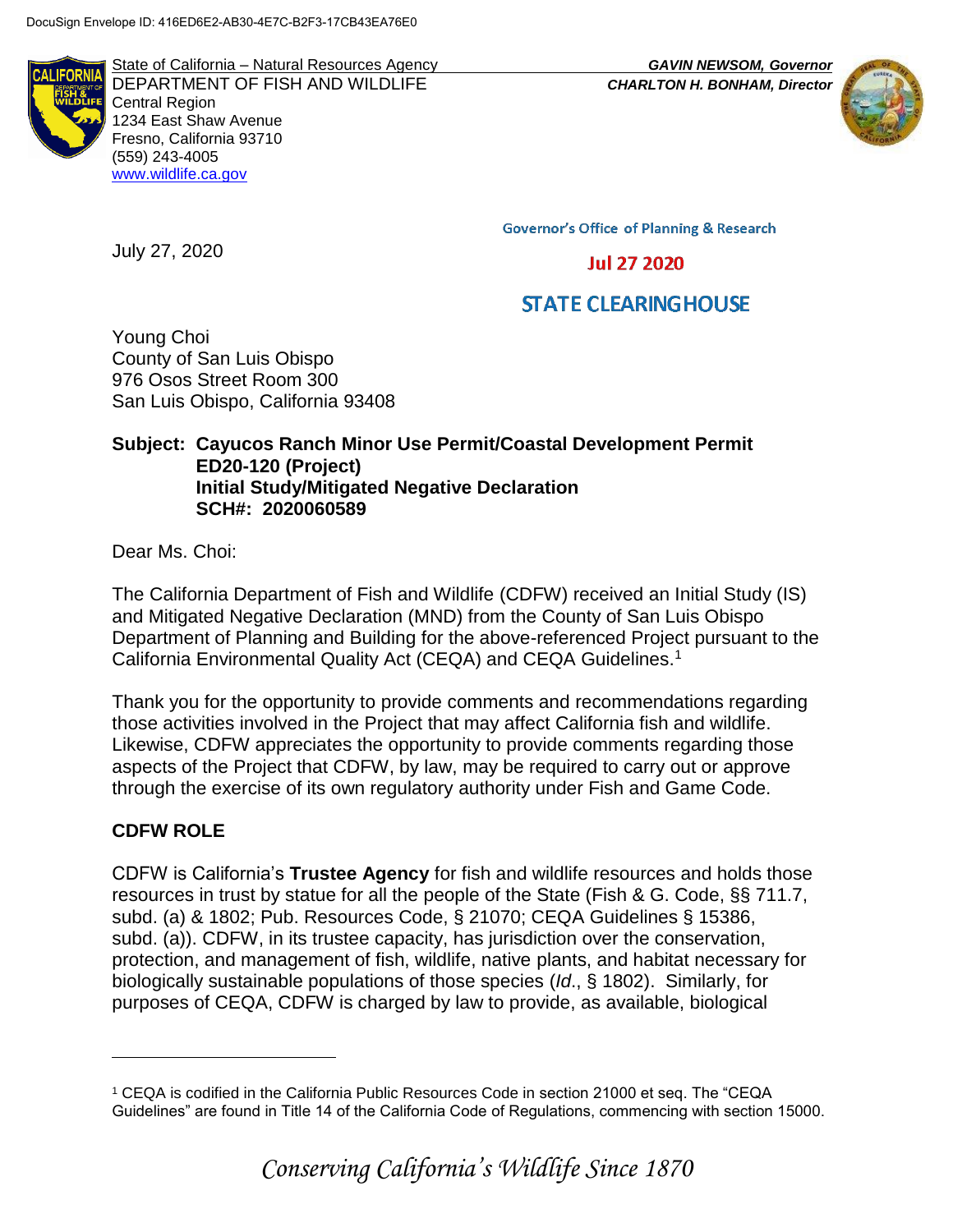

State of California – Natural Resources Agency *GAVIN NEWSOM, Governor* DEPARTMENT OF FISH AND WILDLIFE *CHARLTON H. BONHAM, Director*  Central Region 1234 East Shaw Avenue Fresno, California 93710 (559) 243-4005 [www.wildlife.ca.gov](http://www.cdfw.ca.gov/)



**Governor's Office of Planning & Research** 

**Jul 27 2020** 

# **STATE CLEARING HOUSE**

Young Choi County of San Luis Obispo 976 Osos Street Room 300 San Luis Obispo, California 93408

### **Subject: Cayucos Ranch Minor Use Permit/Coastal Development Permit ED20-120 (Project) Initial Study/Mitigated Negative Declaration SCH#: 2020060589**

Dear Ms. Choi:

July 27, 2020

The California Department of Fish and Wildlife (CDFW) received an Initial Study (IS) and Mitigated Negative Declaration (MND) from the County of San Luis Obispo Department of Planning and Building for the above-referenced Project pursuant to the California Environmental Quality Act (CEQA) and CEQA Guidelines.<sup>1</sup>

Thank you for the opportunity to provide comments and recommendations regarding those activities involved in the Project that may affect California fish and wildlife. Likewise, CDFW appreciates the opportunity to provide comments regarding those aspects of the Project that CDFW, by law, may be required to carry out or approve through the exercise of its own regulatory authority under Fish and Game Code.

# **CDFW ROLE**

 $\overline{a}$ 

CDFW is California's **Trustee Agency** for fish and wildlife resources and holds those resources in trust by statue for all the people of the State (Fish & G. Code, §§ 711.7, subd. (a) & 1802; Pub. Resources Code, § 21070; CEQA Guidelines § 15386, subd. (a)). CDFW, in its trustee capacity, has jurisdiction over the conservation, protection, and management of fish, wildlife, native plants, and habitat necessary for biologically sustainable populations of those species (*Id*., § 1802). Similarly, for purposes of CEQA, CDFW is charged by law to provide, as available, biological

<sup>1</sup> CEQA is codified in the California Public Resources Code in section 21000 et seq. The "CEQA Guidelines" are found in Title 14 of the California Code of Regulations, commencing with section 15000.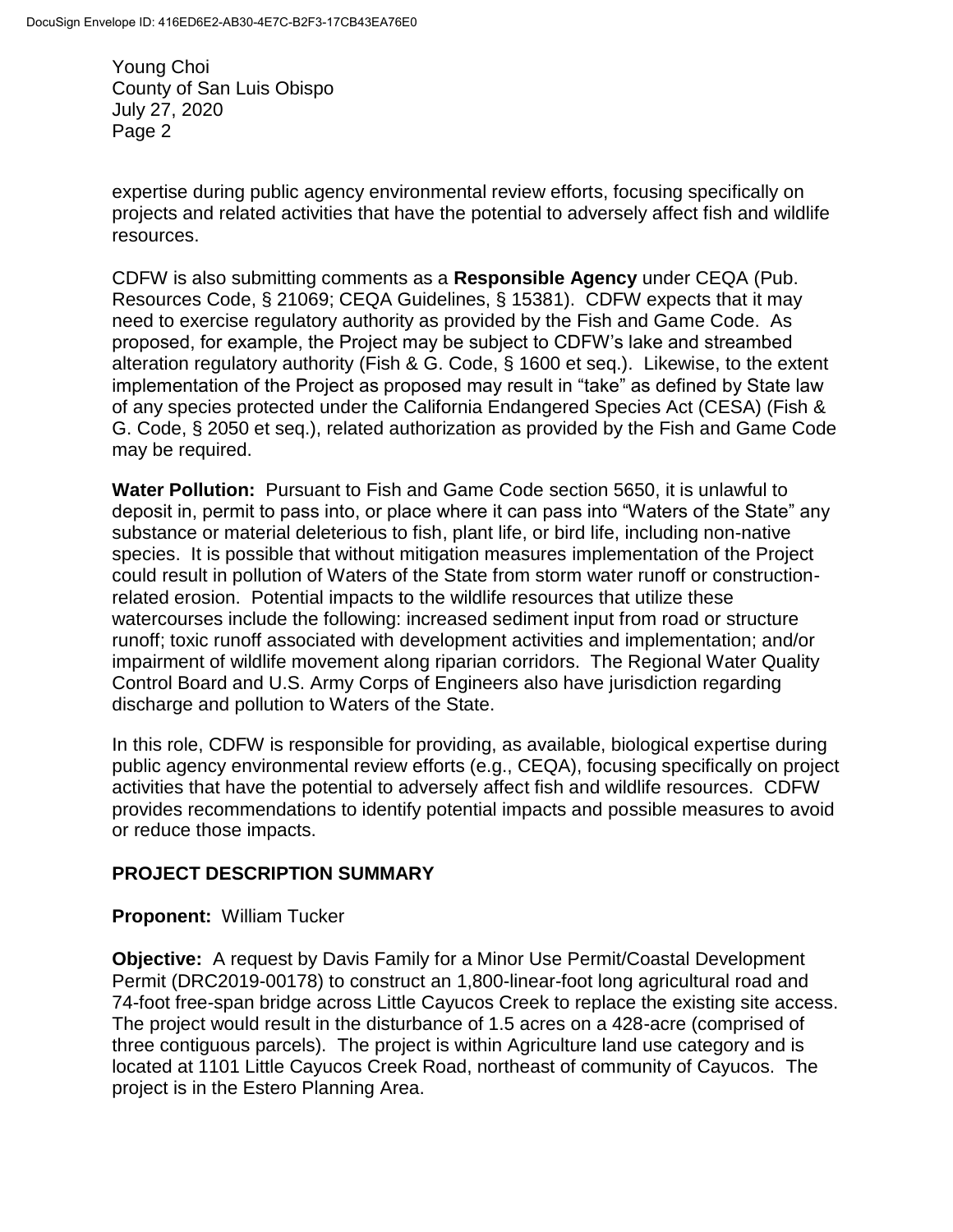expertise during public agency environmental review efforts, focusing specifically on projects and related activities that have the potential to adversely affect fish and wildlife resources.

CDFW is also submitting comments as a **Responsible Agency** under CEQA (Pub. Resources Code, § 21069; CEQA Guidelines, § 15381). CDFW expects that it may need to exercise regulatory authority as provided by the Fish and Game Code. As proposed, for example, the Project may be subject to CDFW's lake and streambed alteration regulatory authority (Fish & G. Code, § 1600 et seq.). Likewise, to the extent implementation of the Project as proposed may result in "take" as defined by State law of any species protected under the California Endangered Species Act (CESA) (Fish & G. Code, § 2050 et seq.), related authorization as provided by the Fish and Game Code may be required.

**Water Pollution:** Pursuant to Fish and Game Code section 5650, it is unlawful to deposit in, permit to pass into, or place where it can pass into "Waters of the State" any substance or material deleterious to fish, plant life, or bird life, including non-native species. It is possible that without mitigation measures implementation of the Project could result in pollution of Waters of the State from storm water runoff or constructionrelated erosion. Potential impacts to the wildlife resources that utilize these watercourses include the following: increased sediment input from road or structure runoff; toxic runoff associated with development activities and implementation; and/or impairment of wildlife movement along riparian corridors. The Regional Water Quality Control Board and U.S. Army Corps of Engineers also have jurisdiction regarding discharge and pollution to Waters of the State.

In this role, CDFW is responsible for providing, as available, biological expertise during public agency environmental review efforts (e.g., CEQA), focusing specifically on project activities that have the potential to adversely affect fish and wildlife resources. CDFW provides recommendations to identify potential impacts and possible measures to avoid or reduce those impacts.

# **PROJECT DESCRIPTION SUMMARY**

### **Proponent:** William Tucker

**Objective:** A request by Davis Family for a Minor Use Permit/Coastal Development Permit (DRC2019-00178) to construct an 1,800-linear-foot long agricultural road and 74-foot free-span bridge across Little Cayucos Creek to replace the existing site access. The project would result in the disturbance of 1.5 acres on a 428-acre (comprised of three contiguous parcels). The project is within Agriculture land use category and is located at 1101 Little Cayucos Creek Road, northeast of community of Cayucos. The project is in the Estero Planning Area.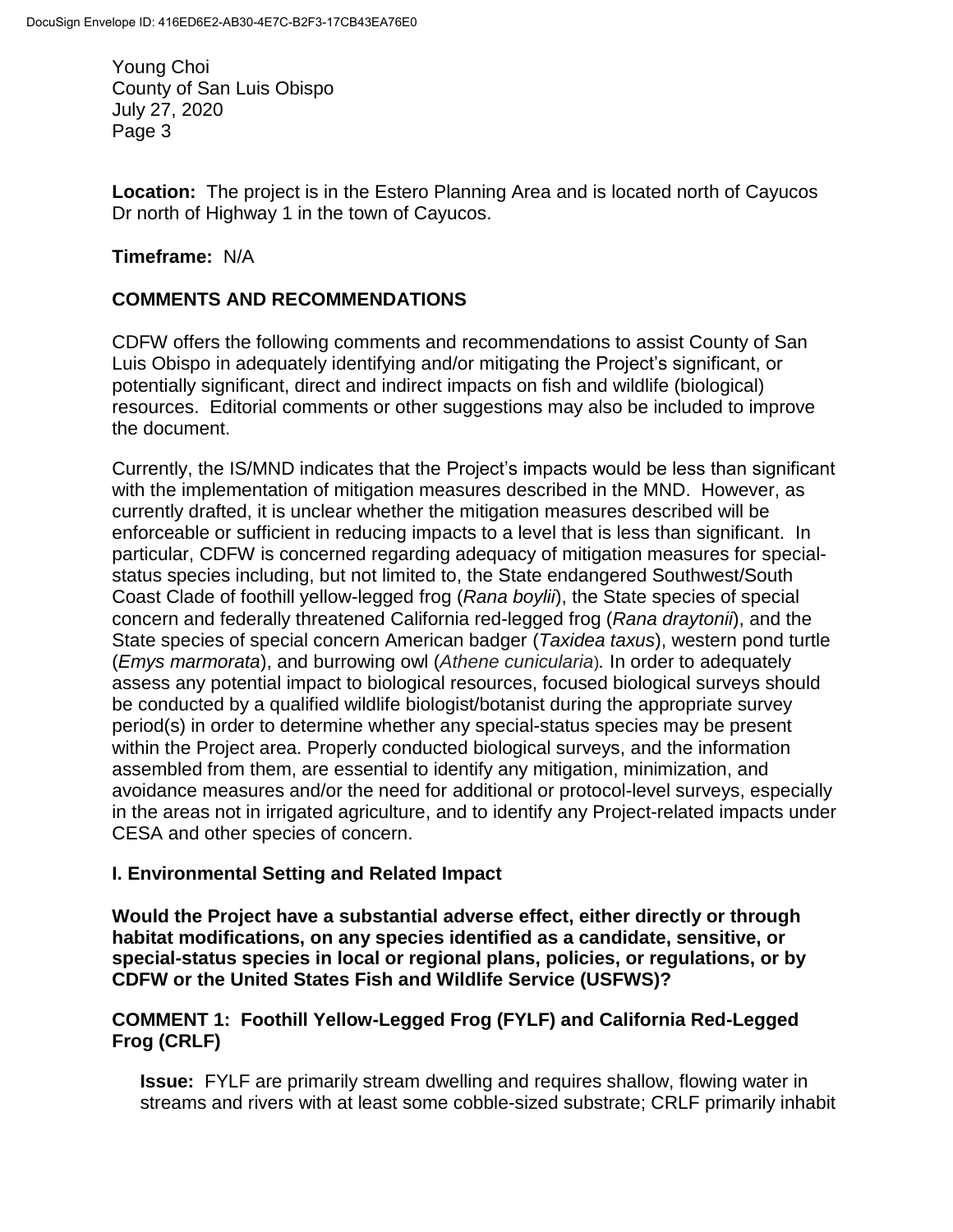**Location:** The project is in the Estero Planning Area and is located north of Cayucos Dr north of Highway 1 in the town of Cayucos.

## **Timeframe:** N/A

## **COMMENTS AND RECOMMENDATIONS**

CDFW offers the following comments and recommendations to assist County of San Luis Obispo in adequately identifying and/or mitigating the Project's significant, or potentially significant, direct and indirect impacts on fish and wildlife (biological) resources. Editorial comments or other suggestions may also be included to improve the document.

Currently, the IS/MND indicates that the Project's impacts would be less than significant with the implementation of mitigation measures described in the MND. However, as currently drafted, it is unclear whether the mitigation measures described will be enforceable or sufficient in reducing impacts to a level that is less than significant. In particular, CDFW is concerned regarding adequacy of mitigation measures for specialstatus species including, but not limited to, the State endangered Southwest/South Coast Clade of foothill yellow-legged frog (*Rana boylii*), the State species of special concern and federally threatened California red-legged frog (*Rana draytonii*), and the State species of special concern American badger (*Taxidea taxus*), western pond turtle (*Emys marmorata*), and burrowing owl (*Athene cunicularia*)*.* In order to adequately assess any potential impact to biological resources, focused biological surveys should be conducted by a qualified wildlife biologist/botanist during the appropriate survey period(s) in order to determine whether any special-status species may be present within the Project area. Properly conducted biological surveys, and the information assembled from them, are essential to identify any mitigation, minimization, and avoidance measures and/or the need for additional or protocol-level surveys, especially in the areas not in irrigated agriculture, and to identify any Project-related impacts under CESA and other species of concern.

### **I. Environmental Setting and Related Impact**

**Would the Project have a substantial adverse effect, either directly or through habitat modifications, on any species identified as a candidate, sensitive, or special-status species in local or regional plans, policies, or regulations, or by CDFW or the United States Fish and Wildlife Service (USFWS)?**

## **COMMENT 1: Foothill Yellow-Legged Frog (FYLF) and California Red-Legged Frog (CRLF)**

**Issue:** FYLF are primarily stream dwelling and requires shallow, flowing water in streams and rivers with at least some cobble-sized substrate; CRLF primarily inhabit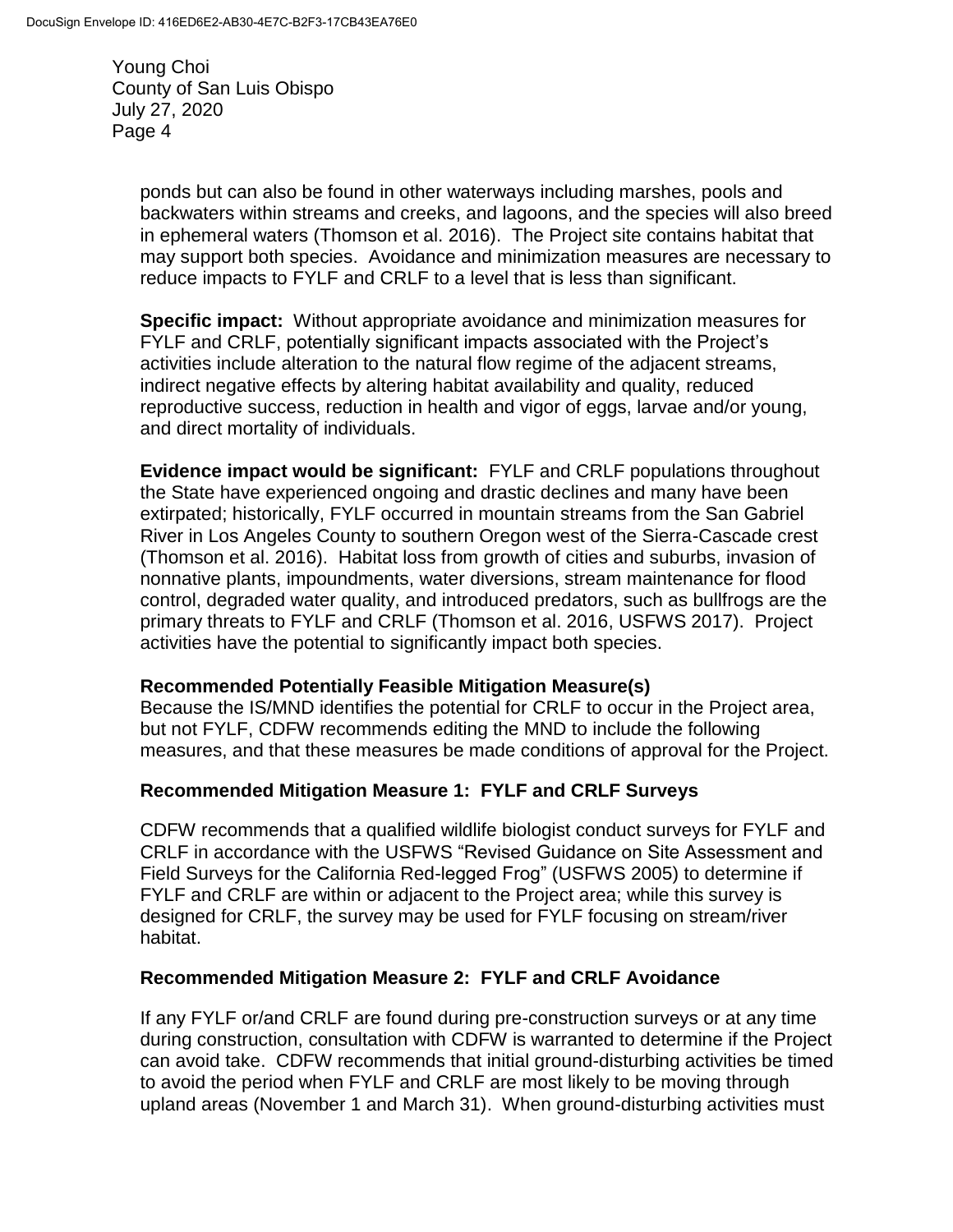> ponds but can also be found in other waterways including marshes, pools and backwaters within streams and creeks, and lagoons, and the species will also breed in ephemeral waters (Thomson et al. 2016). The Project site contains habitat that may support both species. Avoidance and minimization measures are necessary to reduce impacts to FYLF and CRLF to a level that is less than significant.

**Specific impact:** Without appropriate avoidance and minimization measures for FYLF and CRLF, potentially significant impacts associated with the Project's activities include alteration to the natural flow regime of the adjacent streams, indirect negative effects by altering habitat availability and quality, reduced reproductive success, reduction in health and vigor of eggs, larvae and/or young, and direct mortality of individuals.

**Evidence impact would be significant:** FYLF and CRLF populations throughout the State have experienced ongoing and drastic declines and many have been extirpated; historically, FYLF occurred in mountain streams from the San Gabriel River in Los Angeles County to southern Oregon west of the Sierra-Cascade crest (Thomson et al. 2016). Habitat loss from growth of cities and suburbs, invasion of nonnative plants, impoundments, water diversions, stream maintenance for flood control, degraded water quality, and introduced predators, such as bullfrogs are the primary threats to FYLF and CRLF (Thomson et al. 2016, USFWS 2017). Project activities have the potential to significantly impact both species.

### **Recommended Potentially Feasible Mitigation Measure(s)**

Because the IS/MND identifies the potential for CRLF to occur in the Project area, but not FYLF, CDFW recommends editing the MND to include the following measures, and that these measures be made conditions of approval for the Project.

### **Recommended Mitigation Measure 1: FYLF and CRLF Surveys**

CDFW recommends that a qualified wildlife biologist conduct surveys for FYLF and CRLF in accordance with the [USFWS](http://www.fws.gov/southwest/es/oklahoma/documents/te_species/wind%20power/usfws_interim_goea_monitoring_protocol_10march2010.pdf) "Revised Guidance on Site Assessment and Field Surveys for the California Red-legged Frog" (USFWS 2005) to determine if FYLF and CRLF are within or adjacent to the Project area; while this survey is designed for CRLF, the survey may be used for FYLF focusing on stream/river habitat.

### **Recommended Mitigation Measure 2: FYLF and CRLF Avoidance**

If any FYLF or/and CRLF are found during pre-construction surveys or at any time during construction, consultation with CDFW is warranted to determine if the Project can avoid take. CDFW recommends that initial ground-disturbing activities be timed to avoid the period when FYLF and CRLF are most likely to be moving through upland areas (November 1 and March 31). When ground-disturbing activities must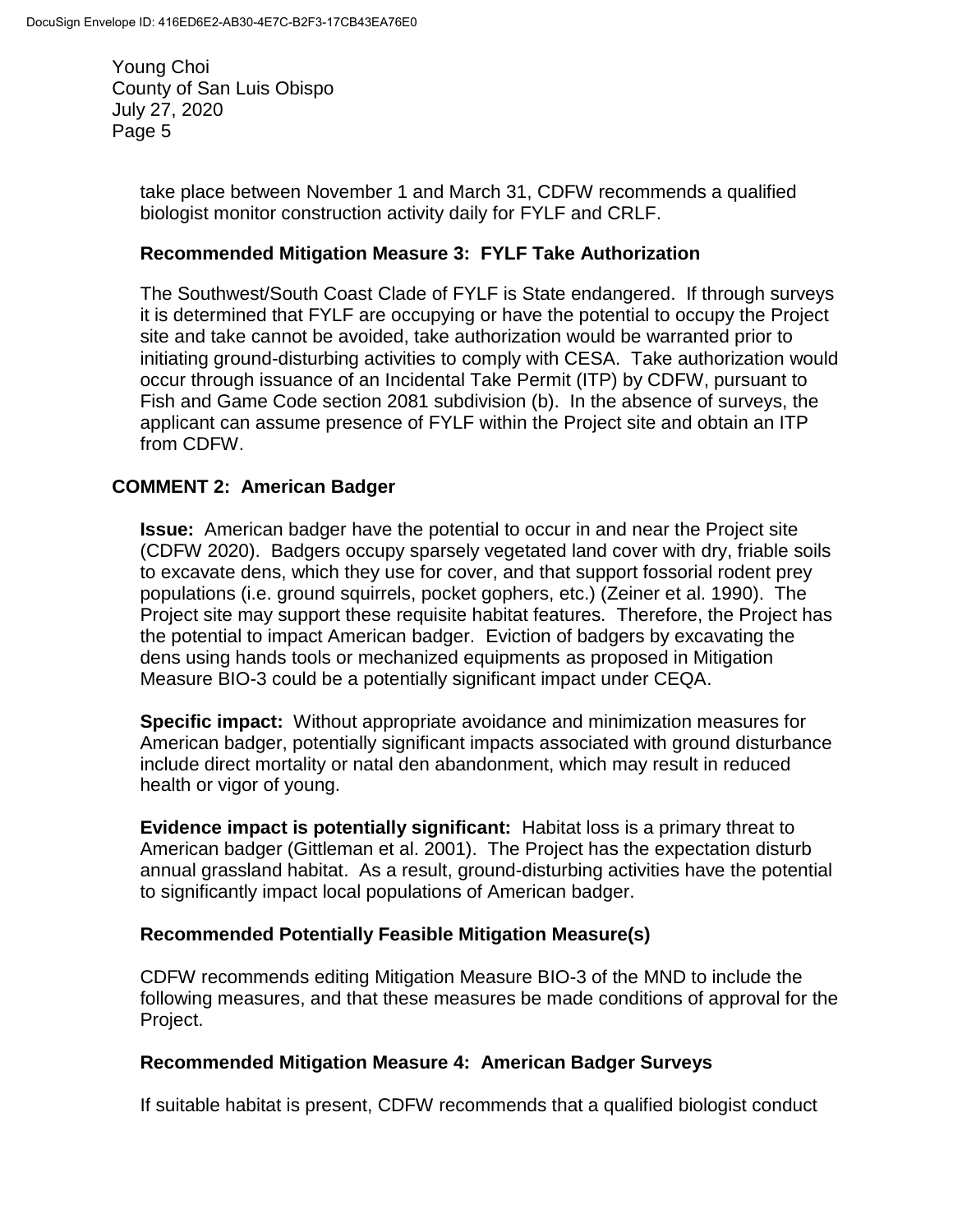> take place between November 1 and March 31, CDFW recommends a qualified biologist monitor construction activity daily for FYLF and CRLF.

### **Recommended Mitigation Measure 3: FYLF Take Authorization**

The Southwest/South Coast Clade of FYLF is State endangered. If through surveys it is determined that FYLF are occupying or have the potential to occupy the Project site and take cannot be avoided, take authorization would be warranted prior to initiating ground-disturbing activities to comply with CESA. Take authorization would occur through issuance of an Incidental Take Permit (ITP) by CDFW, pursuant to Fish and Game Code section 2081 subdivision (b). In the absence of surveys, the applicant can assume presence of FYLF within the Project site and obtain an ITP from CDFW.

## **COMMENT 2: American Badger**

**Issue:** American badger have the potential to occur in and near the Project site (CDFW 2020). Badgers occupy sparsely vegetated land cover with dry, friable soils to excavate dens, which they use for cover, and that support fossorial rodent prey populations (i.e. ground squirrels, pocket gophers, etc.) (Zeiner et al. 1990). The Project site may support these requisite habitat features. Therefore, the Project has the potential to impact American badger. Eviction of badgers by excavating the dens using hands tools or mechanized equipments as proposed in Mitigation Measure BIO-3 could be a potentially significant impact under CEQA.

**Specific impact:** Without appropriate avoidance and minimization measures for American badger, potentially significant impacts associated with ground disturbance include direct mortality or natal den abandonment, which may result in reduced health or vigor of young.

**Evidence impact is potentially significant:** Habitat loss is a primary threat to American badger (Gittleman et al. 2001). The Project has the expectation disturb annual grassland habitat. As a result, ground-disturbing activities have the potential to significantly impact local populations of American badger.

### **Recommended Potentially Feasible Mitigation Measure(s)**

CDFW recommends editing Mitigation Measure BIO-3 of the MND to include the following measures, and that these measures be made conditions of approval for the Project.

### **Recommended Mitigation Measure 4: American Badger Surveys**

If suitable habitat is present, CDFW recommends that a qualified biologist conduct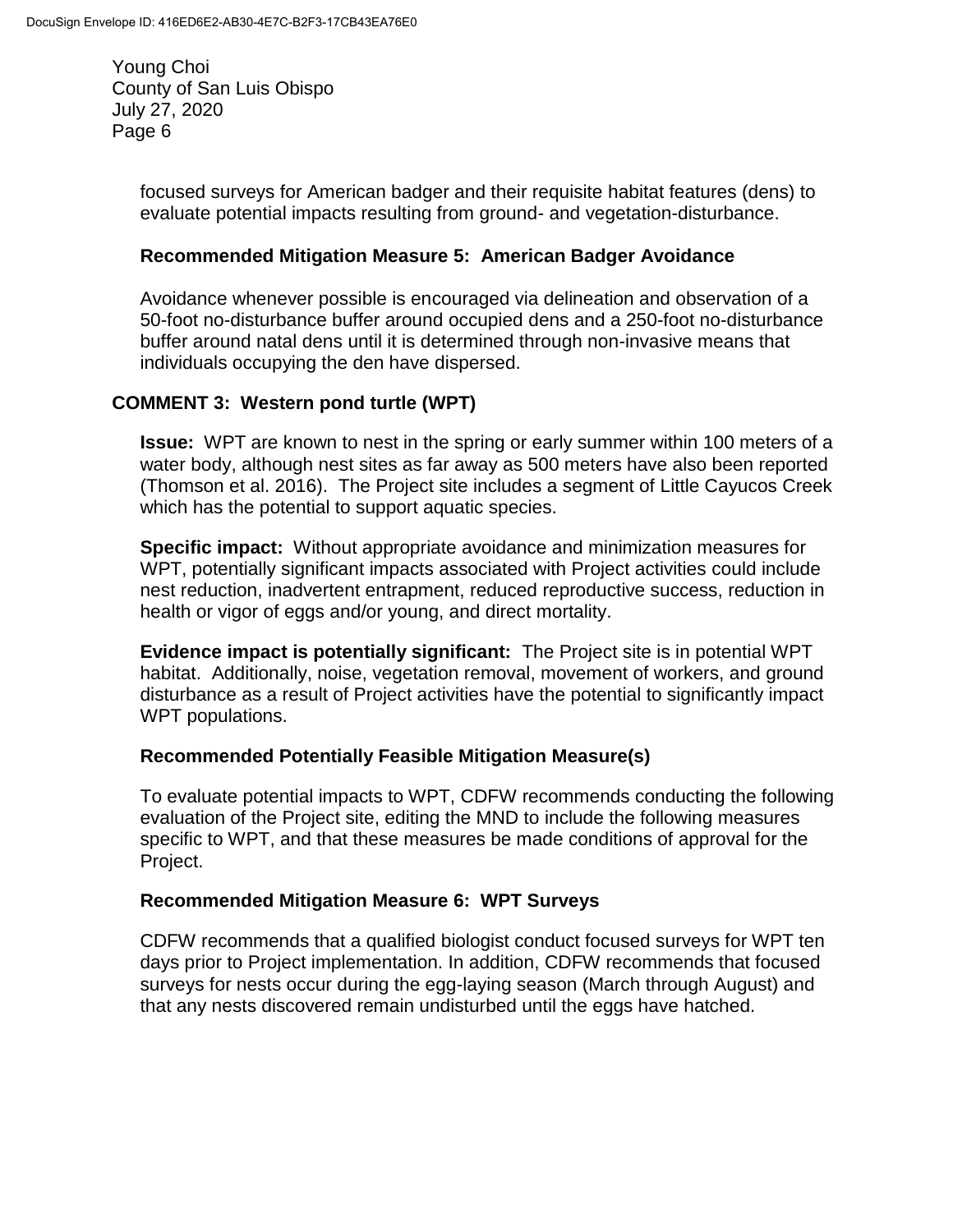> focused surveys for American badger and their requisite habitat features (dens) to evaluate potential impacts resulting from ground- and vegetation-disturbance.

### **Recommended Mitigation Measure 5: American Badger Avoidance**

Avoidance whenever possible is encouraged via delineation and observation of a 50-foot no-disturbance buffer around occupied dens and a 250-foot no-disturbance buffer around natal dens until it is determined through non-invasive means that individuals occupying the den have dispersed.

## **COMMENT 3: Western pond turtle (WPT)**

**Issue:** WPT are known to nest in the spring or early summer within 100 meters of a water body, although nest sites as far away as 500 meters have also been reported (Thomson et al. 2016). The Project site includes a segment of Little Cayucos Creek which has the potential to support aquatic species.

**Specific impact:** Without appropriate avoidance and minimization measures for WPT, potentially significant impacts associated with Project activities could include nest reduction, inadvertent entrapment, reduced reproductive success, reduction in health or vigor of eggs and/or young, and direct mortality.

**Evidence impact is potentially significant:** The Project site is in potential WPT habitat. Additionally, noise, vegetation removal, movement of workers, and ground disturbance as a result of Project activities have the potential to significantly impact WPT populations.

### **Recommended Potentially Feasible Mitigation Measure(s)**

To evaluate potential impacts to WPT, CDFW recommends conducting the following evaluation of the Project site, editing the MND to include the following measures specific to WPT, and that these measures be made conditions of approval for the Project.

### **Recommended Mitigation Measure 6: WPT Surveys**

CDFW recommends that a qualified biologist conduct focused surveys for WPT ten days prior to Project implementation. In addition, CDFW recommends that focused surveys for nests occur during the egg-laying season (March through August) and that any nests discovered remain undisturbed until the eggs have hatched.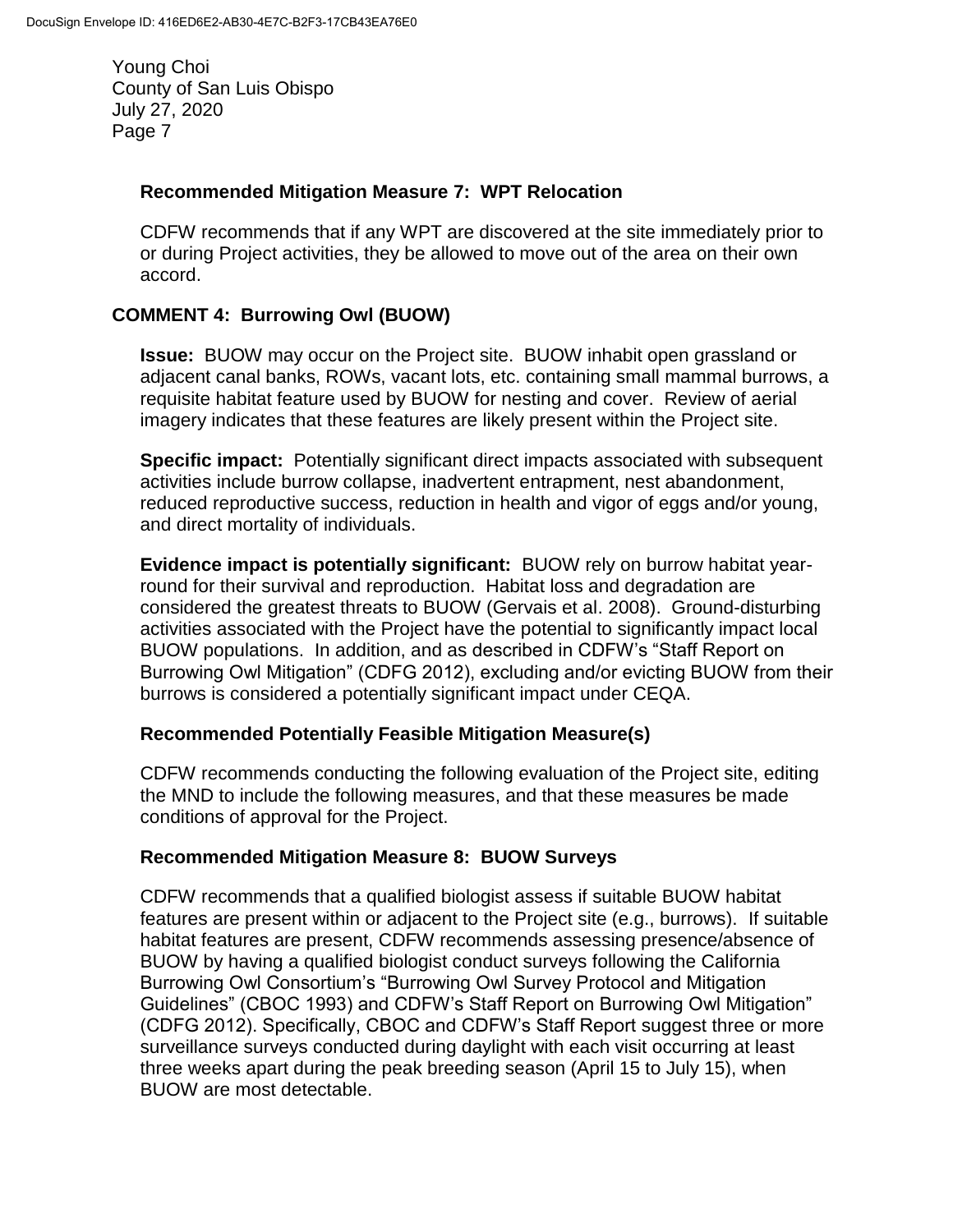#### **Recommended Mitigation Measure 7: WPT Relocation**

CDFW recommends that if any WPT are discovered at the site immediately prior to or during Project activities, they be allowed to move out of the area on their own accord.

## **COMMENT 4: Burrowing Owl (BUOW)**

**Issue:** BUOW may occur on the Project site. BUOW inhabit open grassland or adjacent canal banks, ROWs, vacant lots, etc. containing small mammal burrows, a requisite habitat feature used by BUOW for nesting and cover. Review of aerial imagery indicates that these features are likely present within the Project site.

**Specific impact:** Potentially significant direct impacts associated with subsequent activities include burrow collapse, inadvertent entrapment, nest abandonment, reduced reproductive success, reduction in health and vigor of eggs and/or young, and direct mortality of individuals.

**Evidence impact is potentially significant:** BUOW rely on burrow habitat yearround for their survival and reproduction. Habitat loss and degradation are considered the greatest threats to BUOW (Gervais et al. 2008). Ground-disturbing activities associated with the Project have the potential to significantly impact local BUOW populations. In addition, and as described in CDFW's "Staff Report on Burrowing Owl Mitigation" (CDFG 2012), excluding and/or evicting BUOW from their burrows is considered a potentially significant impact under CEQA.

### **Recommended Potentially Feasible Mitigation Measure(s)**

CDFW recommends conducting the following evaluation of the Project site, editing the MND to include the following measures, and that these measures be made conditions of approval for the Project.

### **Recommended Mitigation Measure 8: BUOW Surveys**

CDFW recommends that a qualified biologist assess if suitable BUOW habitat features are present within or adjacent to the Project site (e.g., burrows). If suitable habitat features are present, CDFW recommends assessing presence/absence of BUOW by having a qualified biologist conduct surveys following the California Burrowing Owl Consortium's "Burrowing Owl Survey Protocol and Mitigation Guidelines" (CBOC 1993) and CDFW's Staff Report on Burrowing Owl Mitigation" (CDFG 2012). Specifically, CBOC and CDFW's Staff Report suggest three or more surveillance surveys conducted during daylight with each visit occurring at least three weeks apart during the peak breeding season (April 15 to July 15), when BUOW are most detectable.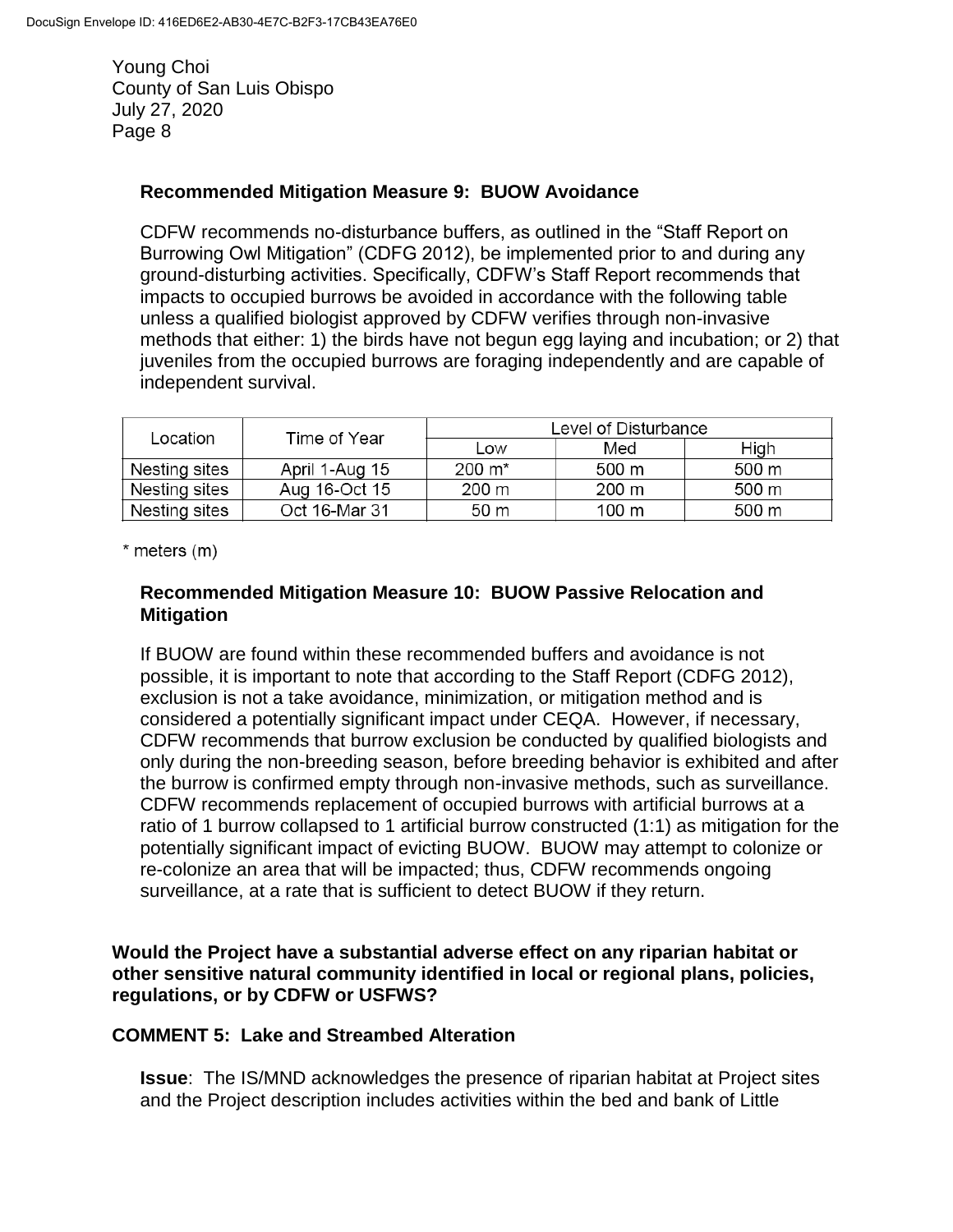#### **Recommended Mitigation Measure 9: BUOW Avoidance**

CDFW recommends no-disturbance buffers, as outlined in the "Staff Report on Burrowing Owl Mitigation" (CDFG 2012), be implemented prior to and during any ground-disturbing activities. Specifically, CDFW's Staff Report recommends that impacts to occupied burrows be avoided in accordance with the following table unless a qualified biologist approved by CDFW verifies through non-invasive methods that either: 1) the birds have not begun egg laying and incubation; or 2) that juveniles from the occupied burrows are foraging independently and are capable of independent survival.

| Location      | Time of Year   | Level of Disturbance |       |       |
|---------------|----------------|----------------------|-------|-------|
|               |                | Low                  | Med   | High  |
| Nesting sites | April 1-Aug 15 | $200 \; \text{m}^*$  | 500 m | 500 m |
| Nesting sites | Aug 16-Oct 15  | 200 m                | 200 m | 500 m |
| Nesting sites | Oct 16-Mar 31  | 50 m                 | 100 m | 500 m |

 $*$  meters  $(m)$ 

### **Recommended Mitigation Measure 10: BUOW Passive Relocation and Mitigation**

If BUOW are found within these recommended buffers and avoidance is not possible, it is important to note that according to the Staff Report (CDFG 2012), exclusion is not a take avoidance, minimization, or mitigation method and is considered a potentially significant impact under CEQA. However, if necessary, CDFW recommends that burrow exclusion be conducted by qualified biologists and only during the non-breeding season, before breeding behavior is exhibited and after the burrow is confirmed empty through non-invasive methods, such as surveillance. CDFW recommends replacement of occupied burrows with artificial burrows at a ratio of 1 burrow collapsed to 1 artificial burrow constructed (1:1) as mitigation for the potentially significant impact of evicting BUOW. BUOW may attempt to colonize or re-colonize an area that will be impacted; thus, CDFW recommends ongoing surveillance, at a rate that is sufficient to detect BUOW if they return.

**Would the Project have a substantial adverse effect on any riparian habitat or other sensitive natural community identified in local or regional plans, policies, regulations, or by CDFW or USFWS?**

#### **COMMENT 5: Lake and Streambed Alteration**

**Issue**: The IS/MND acknowledges the presence of riparian habitat at Project sites and the Project description includes activities within the bed and bank of Little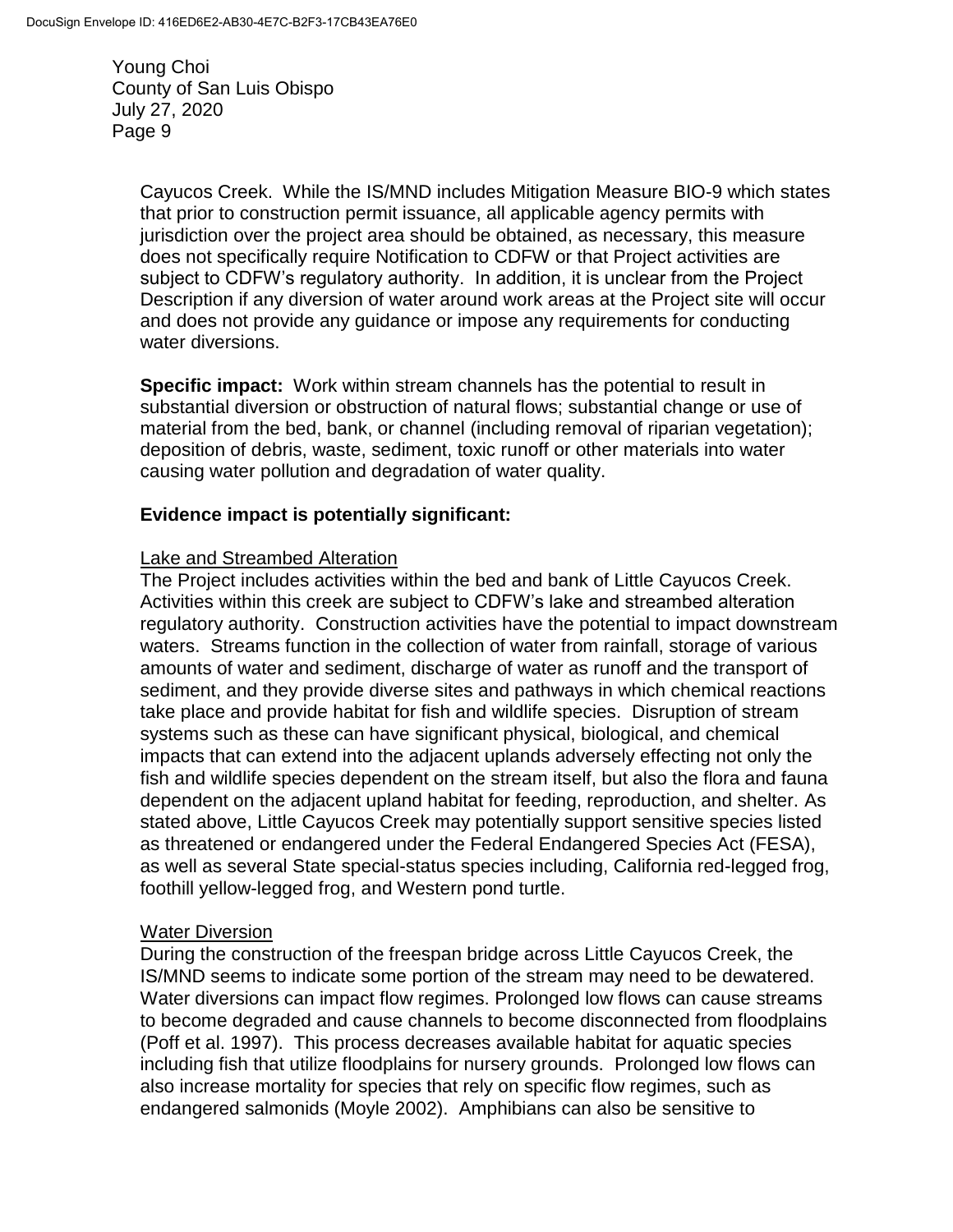> Cayucos Creek. While the IS/MND includes Mitigation Measure BIO-9 which states that prior to construction permit issuance, all applicable agency permits with jurisdiction over the project area should be obtained, as necessary, this measure does not specifically require Notification to CDFW or that Project activities are subject to CDFW's regulatory authority. In addition, it is unclear from the Project Description if any diversion of water around work areas at the Project site will occur and does not provide any guidance or impose any requirements for conducting water diversions.

**Specific impact:** Work within stream channels has the potential to result in substantial diversion or obstruction of natural flows; substantial change or use of material from the bed, bank, or channel (including removal of riparian vegetation); deposition of debris, waste, sediment, toxic runoff or other materials into water causing water pollution and degradation of water quality.

### **Evidence impact is potentially significant:**

### Lake and Streambed Alteration

The Project includes activities within the bed and bank of Little Cayucos Creek. Activities within this creek are subject to CDFW's lake and streambed alteration regulatory authority. Construction activities have the potential to impact downstream waters. Streams function in the collection of water from rainfall, storage of various amounts of water and sediment, discharge of water as runoff and the transport of sediment, and they provide diverse sites and pathways in which chemical reactions take place and provide habitat for fish and wildlife species. Disruption of stream systems such as these can have significant physical, biological, and chemical impacts that can extend into the adjacent uplands adversely effecting not only the fish and wildlife species dependent on the stream itself, but also the flora and fauna dependent on the adjacent upland habitat for feeding, reproduction, and shelter. As stated above, Little Cayucos Creek may potentially support sensitive species listed as threatened or endangered under the Federal Endangered Species Act (FESA), as well as several State special-status species including, California red-legged frog, foothill yellow-legged frog, and Western pond turtle.

### Water Diversion

During the construction of the freespan bridge across Little Cayucos Creek, the IS/MND seems to indicate some portion of the stream may need to be dewatered. Water diversions can impact flow regimes. Prolonged low flows can cause streams to become degraded and cause channels to become disconnected from floodplains (Poff et al. 1997). This process decreases available habitat for aquatic species including fish that utilize floodplains for nursery grounds. Prolonged low flows can also increase mortality for species that rely on specific flow regimes, such as endangered salmonids (Moyle 2002). Amphibians can also be sensitive to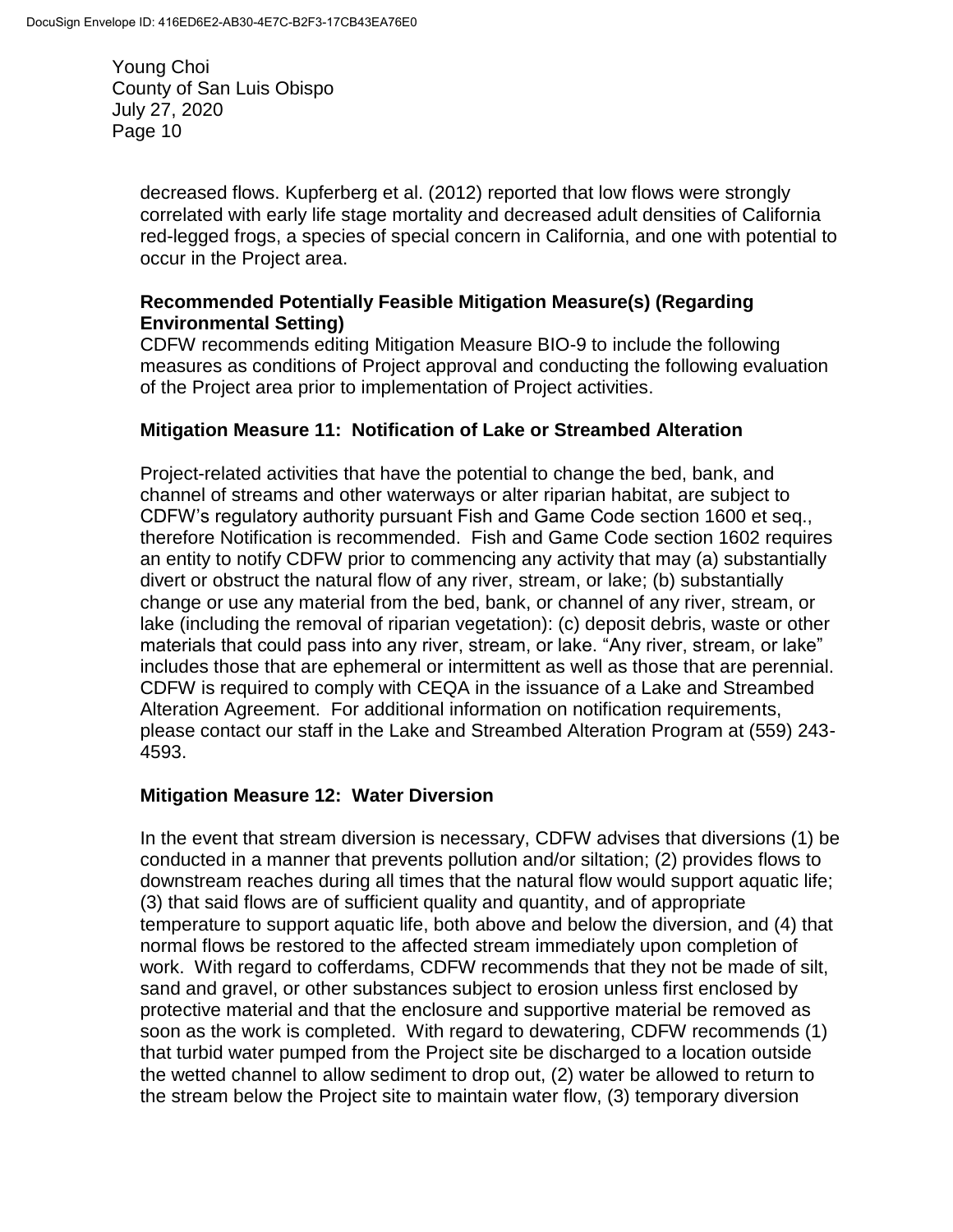> decreased flows. Kupferberg et al. (2012) reported that low flows were strongly correlated with early life stage mortality and decreased adult densities of California red-legged frogs, a species of special concern in California, and one with potential to occur in the Project area.

### **Recommended Potentially Feasible Mitigation Measure(s) (Regarding Environmental Setting)**

CDFW recommends editing Mitigation Measure BIO-9 to include the following measures as conditions of Project approval and conducting the following evaluation of the Project area prior to implementation of Project activities.

# **Mitigation Measure 11: Notification of Lake or Streambed Alteration**

Project-related activities that have the potential to change the bed, bank, and channel of streams and other waterways or alter riparian habitat, are subject to CDFW's regulatory authority pursuant Fish and Game Code section 1600 et seq., therefore Notification is recommended. Fish and Game Code section 1602 requires an entity to notify CDFW prior to commencing any activity that may (a) substantially divert or obstruct the natural flow of any river, stream, or lake; (b) substantially change or use any material from the bed, bank, or channel of any river, stream, or lake (including the removal of riparian vegetation): (c) deposit debris, waste or other materials that could pass into any river, stream, or lake. "Any river, stream, or lake" includes those that are ephemeral or intermittent as well as those that are perennial. CDFW is required to comply with CEQA in the issuance of a Lake and Streambed Alteration Agreement. For additional information on notification requirements, please contact our staff in the Lake and Streambed Alteration Program at (559) 243- 4593.

# **Mitigation Measure 12: Water Diversion**

In the event that stream diversion is necessary, CDFW advises that diversions (1) be conducted in a manner that prevents pollution and/or siltation; (2) provides flows to downstream reaches during all times that the natural flow would support aquatic life; (3) that said flows are of sufficient quality and quantity, and of appropriate temperature to support aquatic life, both above and below the diversion, and (4) that normal flows be restored to the affected stream immediately upon completion of work. With regard to cofferdams, CDFW recommends that they not be made of silt, sand and gravel, or other substances subject to erosion unless first enclosed by protective material and that the enclosure and supportive material be removed as soon as the work is completed. With regard to dewatering, CDFW recommends (1) that turbid water pumped from the Project site be discharged to a location outside the wetted channel to allow sediment to drop out, (2) water be allowed to return to the stream below the Project site to maintain water flow, (3) temporary diversion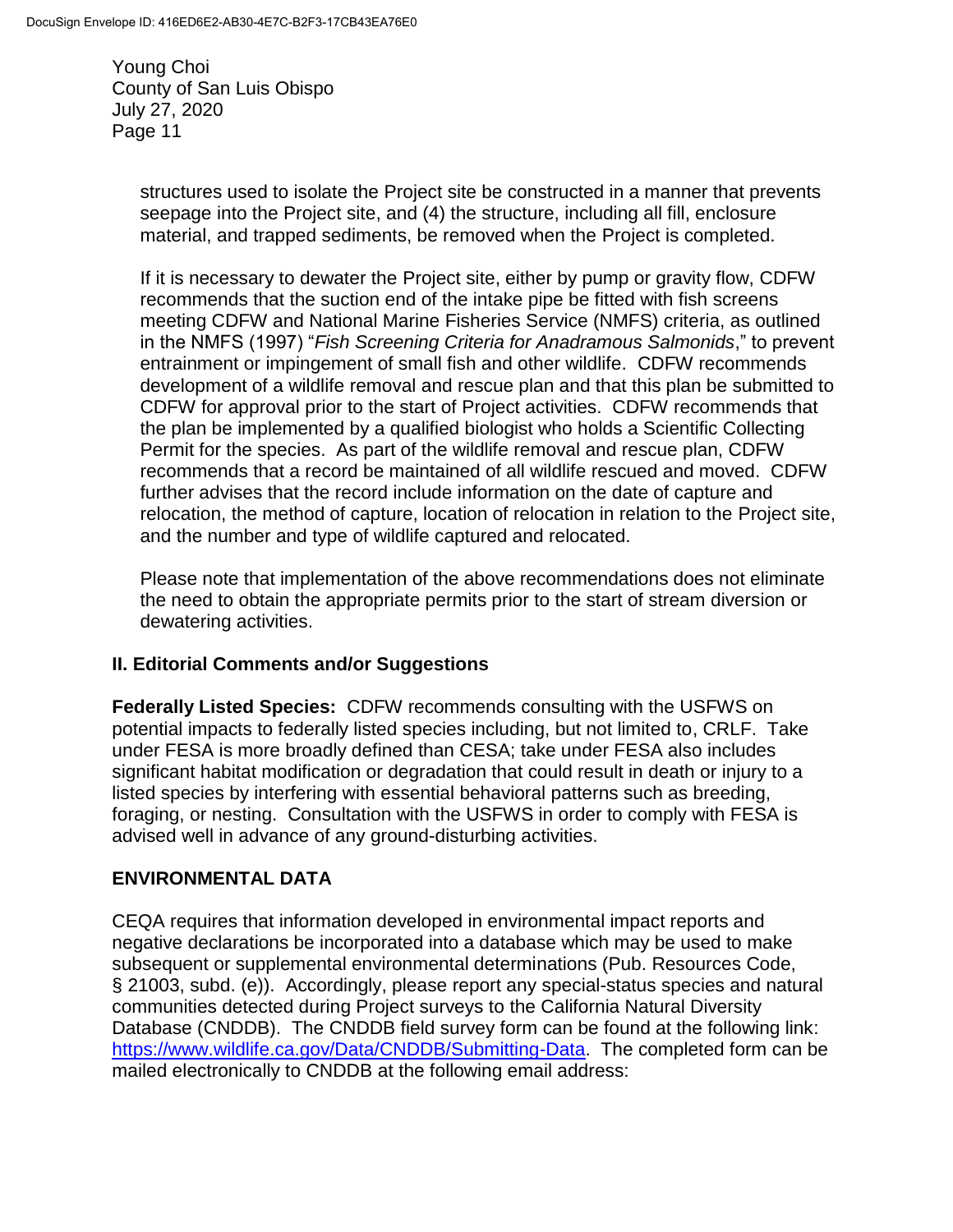> structures used to isolate the Project site be constructed in a manner that prevents seepage into the Project site, and (4) the structure, including all fill, enclosure material, and trapped sediments, be removed when the Project is completed.

If it is necessary to dewater the Project site, either by pump or gravity flow, CDFW recommends that the suction end of the intake pipe be fitted with fish screens meeting CDFW and National Marine Fisheries Service (NMFS) criteria, as outlined in the NMFS (1997) "*Fish Screening Criteria for Anadramous Salmonids*," to prevent entrainment or impingement of small fish and other wildlife. CDFW recommends development of a wildlife removal and rescue plan and that this plan be submitted to CDFW for approval prior to the start of Project activities. CDFW recommends that the plan be implemented by a qualified biologist who holds a Scientific Collecting Permit for the species. As part of the wildlife removal and rescue plan, CDFW recommends that a record be maintained of all wildlife rescued and moved. CDFW further advises that the record include information on the date of capture and relocation, the method of capture, location of relocation in relation to the Project site, and the number and type of wildlife captured and relocated.

Please note that implementation of the above recommendations does not eliminate the need to obtain the appropriate permits prior to the start of stream diversion or dewatering activities.

# **II. Editorial Comments and/or Suggestions**

**Federally Listed Species:** CDFW recommends consulting with the USFWS on potential impacts to federally listed species including, but not limited to, CRLF. Take under FESA is more broadly defined than CESA; take under FESA also includes significant habitat modification or degradation that could result in death or injury to a listed species by interfering with essential behavioral patterns such as breeding, foraging, or nesting. Consultation with the USFWS in order to comply with FESA is advised well in advance of any ground-disturbing activities.

# **ENVIRONMENTAL DATA**

CEQA requires that information developed in environmental impact reports and negative declarations be incorporated into a database which may be used to make subsequent or supplemental environmental determinations (Pub. Resources Code, § 21003, subd. (e)). Accordingly, please report any special-status species and natural communities detected during Project surveys to the California Natural Diversity Database (CNDDB). The CNDDB field survey form can be found at the following link: [https://www.wildlife.ca.gov/Data/CNDDB/Submitting-Data.](https://www.wildlife.ca.gov/Data/CNDDB/Submitting-Data) The completed form can be mailed electronically to CNDDB at the following email address: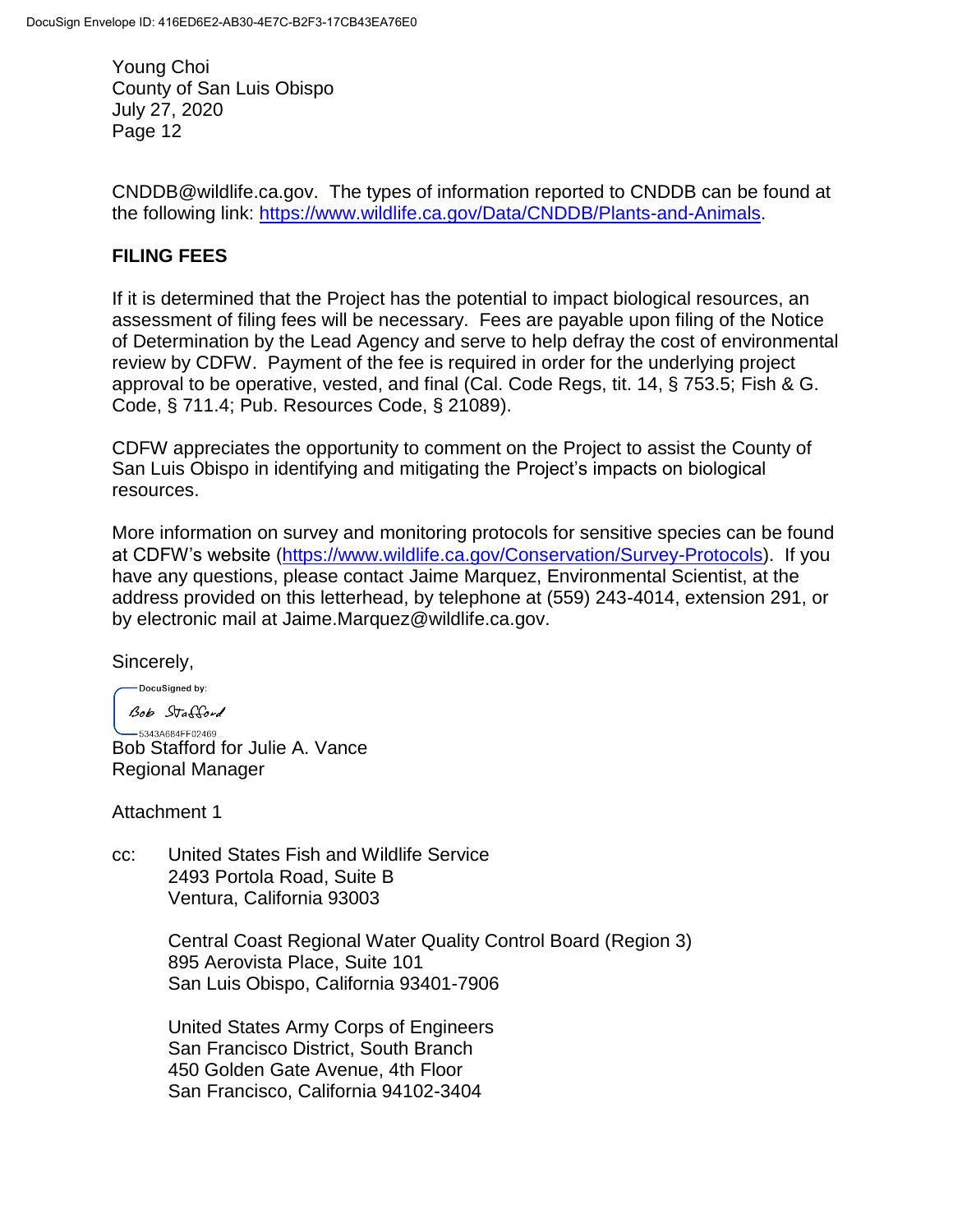CNDDB@wildlife.ca.gov. The types of information reported to CNDDB can be found at the following link: [https://www.wildlife.ca.gov/Data/CNDDB/Plants-and-Animals.](https://www.wildlife.ca.gov/Data/CNDDB/Plants-and-Animals)

# **FILING FEES**

If it is determined that the Project has the potential to impact biological resources, an assessment of filing fees will be necessary. Fees are payable upon filing of the Notice of Determination by the Lead Agency and serve to help defray the cost of environmental review by CDFW. Payment of the fee is required in order for the underlying project approval to be operative, vested, and final (Cal. Code Regs, tit. 14, § 753.5; Fish & G. Code, § 711.4; Pub. Resources Code, § 21089).

CDFW appreciates the opportunity to comment on the Project to assist the County of San Luis Obispo in identifying and mitigating the Project's impacts on biological resources.

More information on survey and monitoring protocols for sensitive species can be found at CDFW's website [\(https://www.wildlife.ca.gov/Conservation/Survey-Protocols\)](https://www.wildlife.ca.gov/Conservation/Survey-Protocols). If you have any questions, please contact Jaime Marquez, Environmental Scientist, at the address provided on this letterhead, by telephone at (559) 243-4014, extension 291, or by electronic mail at Jaime.Marquez@wildlife.ca.gov.

Sincerely,

-DocuSigned by: Bob Stafford

 $-53434684FF02469$ Bob Stafford for Julie A. Vance Regional Manager

Attachment 1

cc: United States Fish and Wildlife Service 2493 Portola Road, Suite B Ventura, California 93003

> Central Coast Regional Water Quality Control Board (Region 3) 895 Aerovista Place, Suite 101 San Luis Obispo, California 93401-7906

United States Army Corps of Engineers San Francisco District, South Branch 450 Golden Gate Avenue, 4th Floor San Francisco, California 94102-3404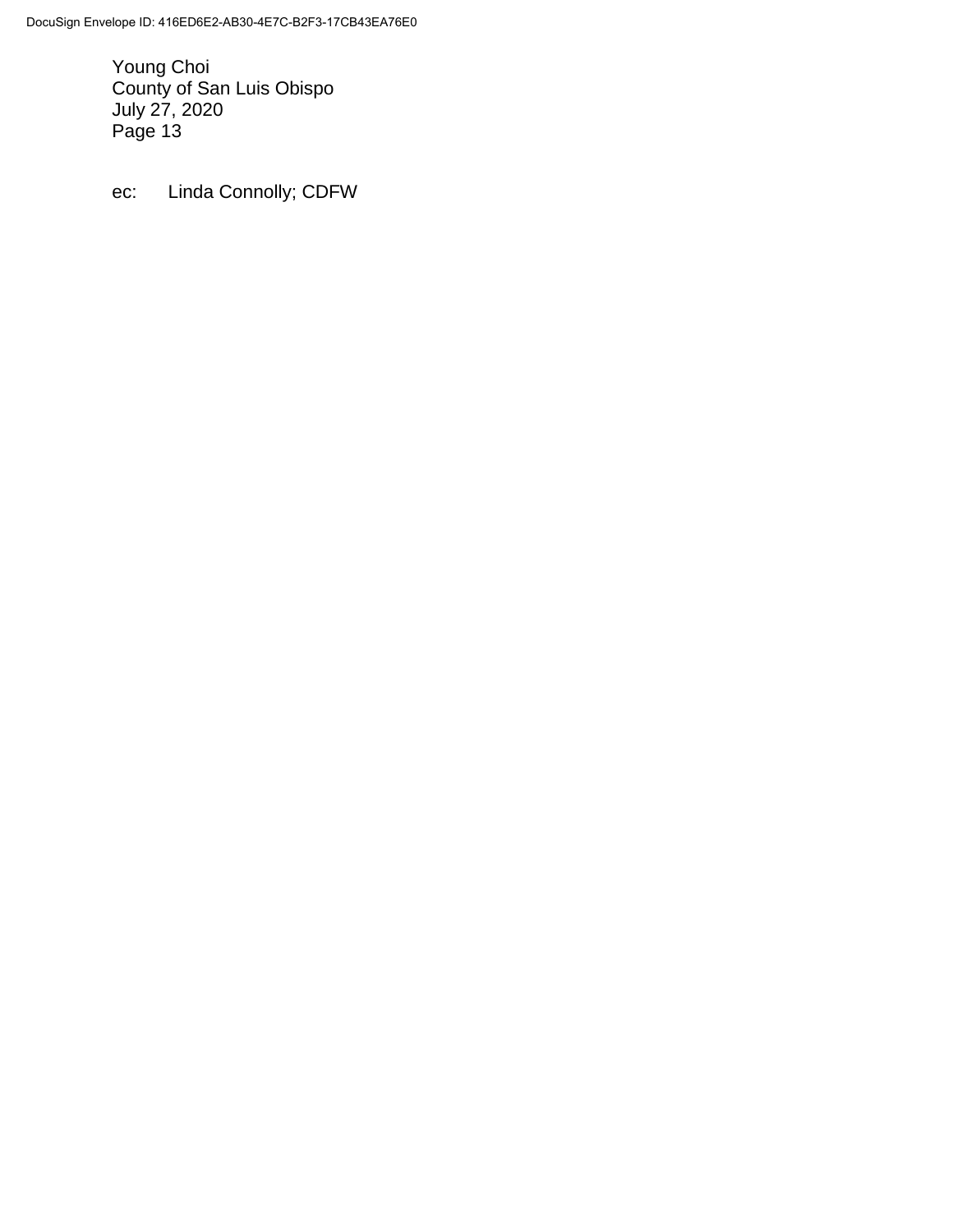ec: Linda Connolly; CDFW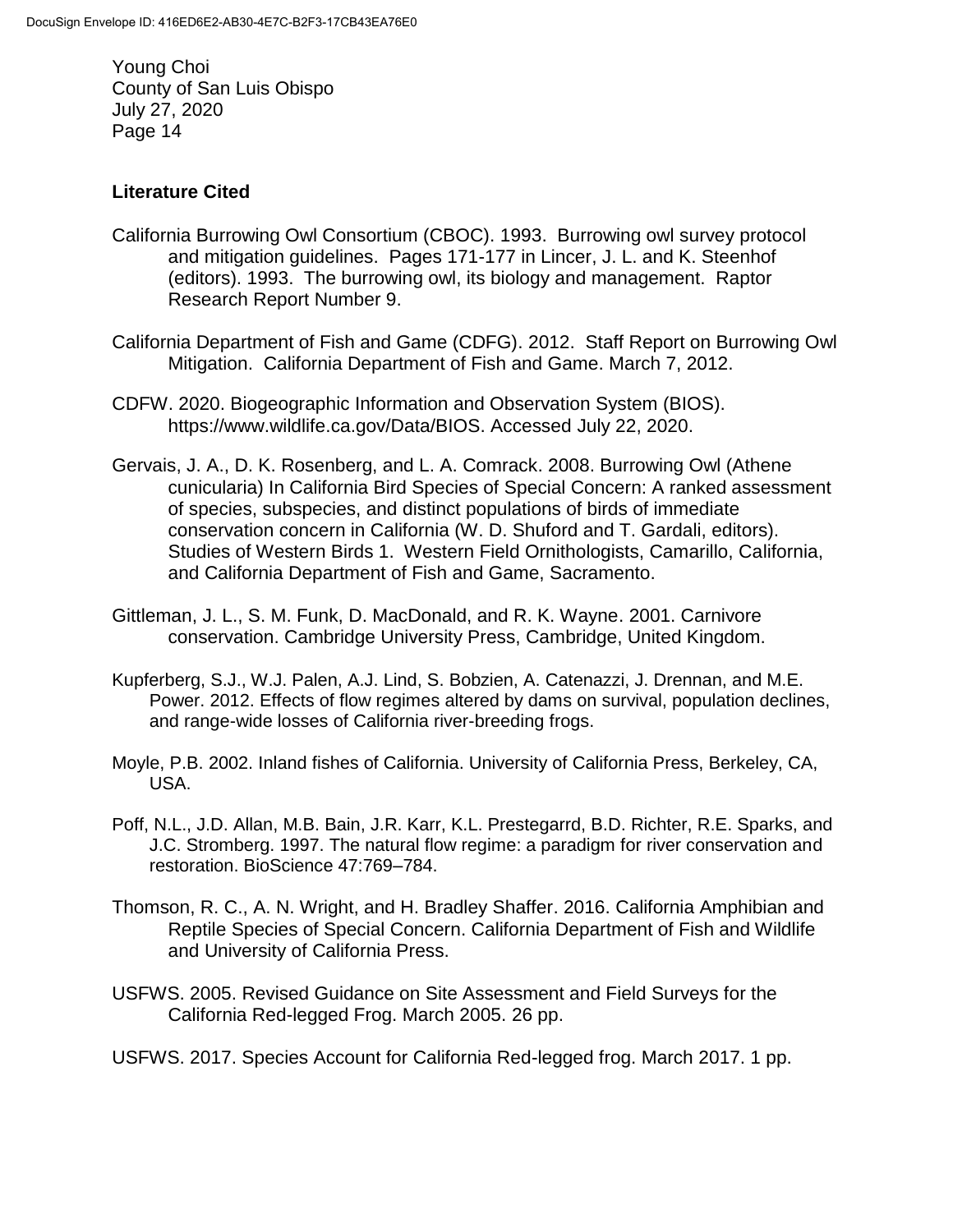## **Literature Cited**

- California Burrowing Owl Consortium (CBOC). 1993. Burrowing owl survey protocol and mitigation guidelines. Pages 171-177 in Lincer, J. L. and K. Steenhof (editors). 1993. The burrowing owl, its biology and management. Raptor Research Report Number 9.
- California Department of Fish and Game (CDFG). 2012. Staff Report on Burrowing Owl Mitigation. California Department of Fish and Game. March 7, 2012.
- CDFW. 2020. Biogeographic Information and Observation System (BIOS). https://www.wildlife.ca.gov/Data/BIOS. Accessed July 22, 2020.
- Gervais, J. A., D. K. Rosenberg, and L. A. Comrack. 2008. Burrowing Owl (Athene cunicularia) In California Bird Species of Special Concern: A ranked assessment of species, subspecies, and distinct populations of birds of immediate conservation concern in California (W. D. Shuford and T. Gardali, editors). Studies of Western Birds 1. Western Field Ornithologists, Camarillo, California, and California Department of Fish and Game, Sacramento.
- Gittleman, J. L., S. M. Funk, D. MacDonald, and R. K. Wayne. 2001. Carnivore conservation. Cambridge University Press, Cambridge, United Kingdom.
- Kupferberg, S.J., W.J. Palen, A.J. Lind, S. Bobzien, A. Catenazzi, J. Drennan, and M.E. Power. 2012. Effects of flow regimes altered by dams on survival, population declines, and range-wide losses of California river-breeding frogs.
- Moyle, P.B. 2002. Inland fishes of California. University of California Press, Berkeley, CA, USA.
- Poff, N.L., J.D. Allan, M.B. Bain, J.R. Karr, K.L. Prestegarrd, B.D. Richter, R.E. Sparks, and J.C. Stromberg. 1997. The natural flow regime: a paradigm for river conservation and restoration. BioScience 47:769–784.
- Thomson, R. C., A. N. Wright, and H. Bradley Shaffer. 2016. California Amphibian and Reptile Species of Special Concern. California Department of Fish and Wildlife and University of California Press.
- [USFWS.](http://www.fws.gov/southwest/es/oklahoma/documents/te_species/wind%20power/usfws_interim_goea_monitoring_protocol_10march2010.pdf) 2005. Revised Guidance on Site Assessment and Field Surveys for the California Red-legged Frog. March 2005. 26 pp.
- USFWS. 2017. Species Account for California Red-legged frog. March 2017. 1 pp.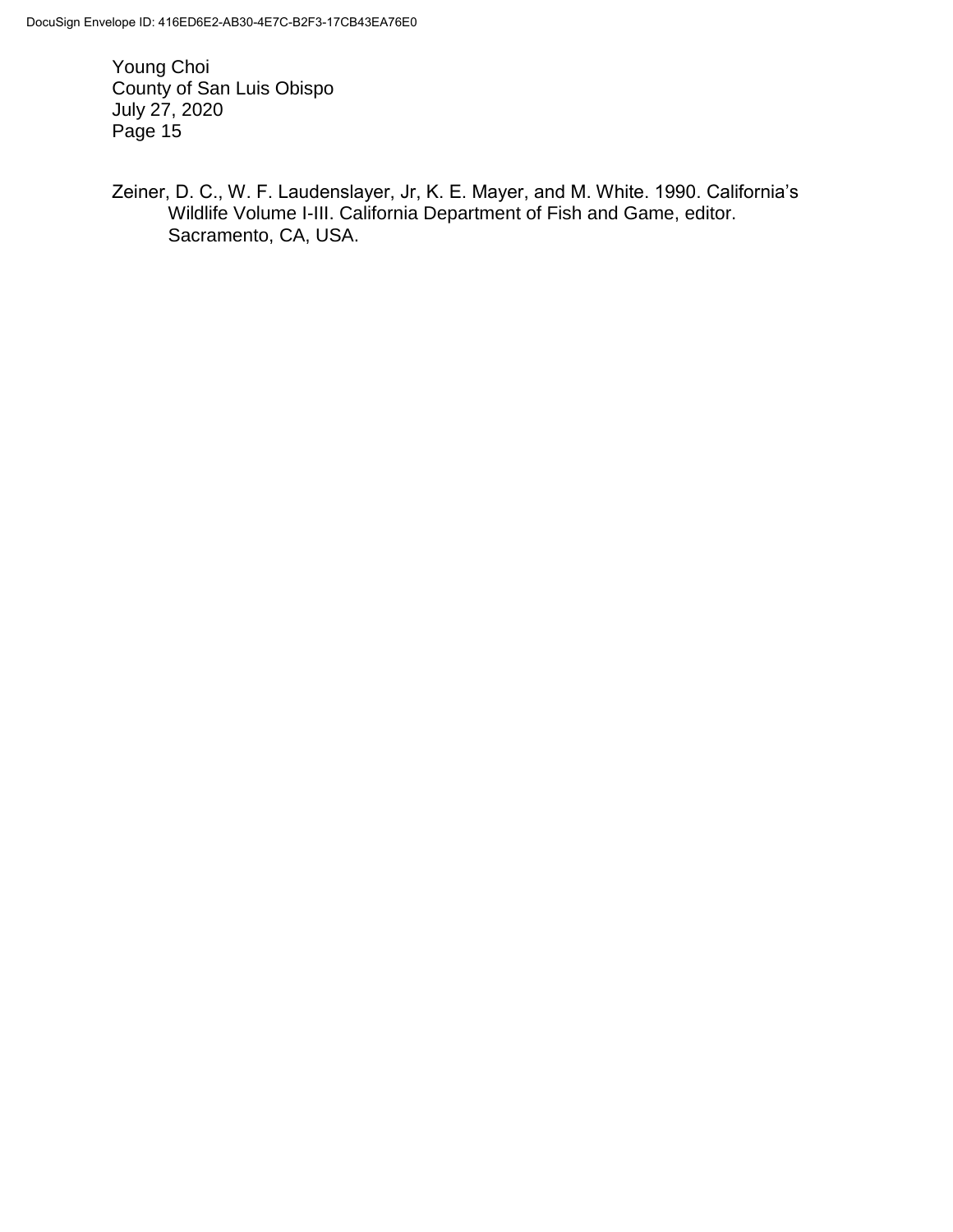Zeiner, D. C., W. F. Laudenslayer, Jr, K. E. Mayer, and M. White. 1990. California's Wildlife Volume I-III. California Department of Fish and Game, editor. Sacramento, CA, USA.